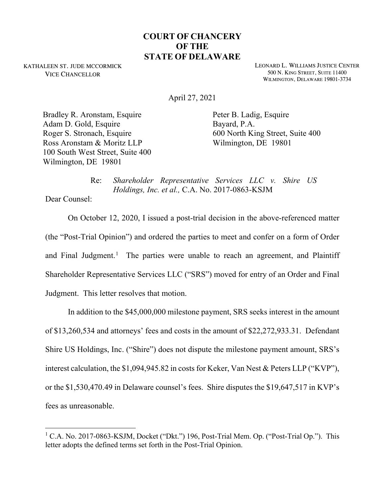## **COURT OF CHANCERY OF THE STATE OF DELAWARE**

KATHALEEN ST. JUDE MCCORMICK VICE CHANCELLOR

LEONARD L. WILLIAMS JUSTICE CENTER 500 N. KING STREET, SUITE 11400 WILMINGTON, DELAWARE 19801-3734

April 27, 2021

Bradley R. Aronstam, Esquire Adam D. Gold, Esquire Roger S. Stronach, Esquire Ross Aronstam & Moritz LLP 100 South West Street, Suite 400 Wilmington, DE 19801

Peter B. Ladig, Esquire Bayard, P.A. 600 North King Street, Suite 400 Wilmington, DE 19801

Re: *Shareholder Representative Services LLC v. Shire US Holdings, Inc. et al.,* C.A. No. 2017-0863-KSJM

Dear Counsel:

On October 12, 2020, I issued a post-trial decision in the above-referenced matter (the "Post-Trial Opinion") and ordered the parties to meet and confer on a form of Order and Final Judgment.<sup>1</sup> The parties were unable to reach an agreement, and Plaintiff Shareholder Representative Services LLC ("SRS") moved for entry of an Order and Final Judgment. This letter resolves that motion.

In addition to the \$45,000,000 milestone payment, SRS seeks interest in the amount of \$13,260,534 and attorneys' fees and costs in the amount of \$22,272,933.31. Defendant Shire US Holdings, Inc. ("Shire") does not dispute the milestone payment amount, SRS's interest calculation, the \$1,094,945.82 in costs for Keker, Van Nest & Peters LLP ("KVP"), or the \$1,530,470.49 in Delaware counsel's fees. Shire disputes the \$19,647,517 in KVP's fees as unreasonable.

 $1$  C.A. No. 2017-0863-KSJM, Docket ("Dkt.") 196, Post-Trial Mem. Op. ("Post-Trial Op."). This letter adopts the defined terms set forth in the Post-Trial Opinion.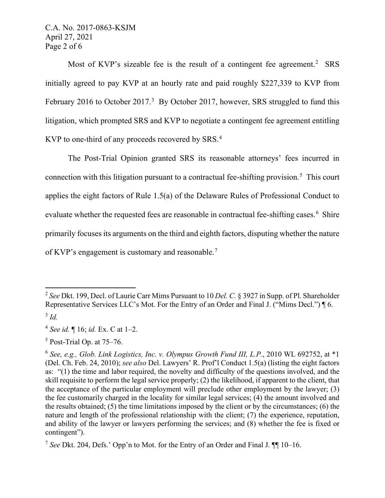C.A. No. 2017-0863-KSJM April 27, 2021 Page 2 of 6

Most of KVP's sizeable fee is the result of a contingent fee agreement.<sup>2</sup> SRS initially agreed to pay KVP at an hourly rate and paid roughly \$227,339 to KVP from February 2016 to October 2017.<sup>3</sup> By October 2017, however, SRS struggled to fund this litigation, which prompted SRS and KVP to negotiate a contingent fee agreement entitling KVP to one-third of any proceeds recovered by SRS.<sup>4</sup>

The Post-Trial Opinion granted SRS its reasonable attorneys' fees incurred in connection with this litigation pursuant to a contractual fee-shifting provision.<sup>5</sup> This court applies the eight factors of Rule 1.5(a) of the Delaware Rules of Professional Conduct to evaluate whether the requested fees are reasonable in contractual fee-shifting cases.<sup>6</sup> Shire primarily focuses its arguments on the third and eighth factors, disputing whether the nature of KVP's engagement is customary and reasonable.<sup>7</sup>

<sup>2</sup> *See* Dkt. 199, Decl. of Laurie Carr Mims Pursuant to 10 *Del. C.* § 3927 in Supp. of Pl. Shareholder Representative Services LLC's Mot. For the Entry of an Order and Final J. ("Mims Decl.") ¶ 6. <sup>3</sup> *Id.*

<sup>4</sup> *See id.* ¶ 16; *id.* Ex. C at 1–2.

<sup>5</sup> Post-Trial Op. at 75–76.

<sup>6</sup> *See, e.g., Glob. Link Logistics, Inc. v. Olympus Growth Fund III, L.P.*, 2010 WL 692752, at \*1 (Del. Ch. Feb. 24, 2010); *see also* Del. Lawyers' R. Prof'l Conduct 1.5(a) (listing the eight factors as: "(1) the time and labor required, the novelty and difficulty of the questions involved, and the skill requisite to perform the legal service properly; (2) the likelihood, if apparent to the client, that the acceptance of the particular employment will preclude other employment by the lawyer; (3) the fee customarily charged in the locality for similar legal services; (4) the amount involved and the results obtained; (5) the time limitations imposed by the client or by the circumstances; (6) the nature and length of the professional relationship with the client; (7) the experience, reputation, and ability of the lawyer or lawyers performing the services; and (8) whether the fee is fixed or contingent").

<sup>7</sup> *See* Dkt. 204, Defs.' Opp'n to Mot. for the Entry of an Order and Final J. ¶¶ 10–16.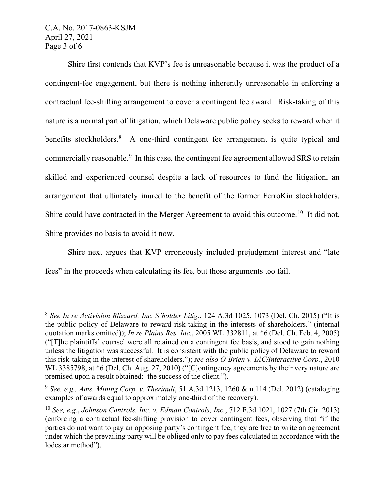## C.A. No. 2017-0863-KSJM April 27, 2021 Page 3 of 6

Shire first contends that KVP's fee is unreasonable because it was the product of a contingent-fee engagement, but there is nothing inherently unreasonable in enforcing a contractual fee-shifting arrangement to cover a contingent fee award. Risk-taking of this nature is a normal part of litigation, which Delaware public policy seeks to reward when it benefits stockholders.<sup>8</sup> A one-third contingent fee arrangement is quite typical and commercially reasonable.<sup>9</sup> In this case, the contingent fee agreement allowed SRS to retain skilled and experienced counsel despite a lack of resources to fund the litigation, an arrangement that ultimately inured to the benefit of the former FerroKin stockholders. Shire could have contracted in the Merger Agreement to avoid this outcome.<sup>10</sup> It did not. Shire provides no basis to avoid it now.

Shire next argues that KVP erroneously included prejudgment interest and "late fees" in the proceeds when calculating its fee, but those arguments too fail.

<sup>8</sup> *See In re Activision Blizzard, Inc. S'holder Litig.*, 124 A.3d 1025, 1073 (Del. Ch. 2015) ("It is the public policy of Delaware to reward risk-taking in the interests of shareholders." (internal quotation marks omitted)); *In re Plains Res. Inc.*, 2005 WL 332811, at \*6 (Del. Ch. Feb. 4, 2005) ("[T]he plaintiffs' counsel were all retained on a contingent fee basis, and stood to gain nothing unless the litigation was successful. It is consistent with the public policy of Delaware to reward this risk-taking in the interest of shareholders."); *see also O'Brien v. IAC/Interactive Corp.*, 2010 WL 3385798, at  $*6$  (Del. Ch. Aug. 27, 2010) ("[C]ontingency agreements by their very nature are premised upon a result obtained: the success of the client.").

<sup>9</sup> *See, e.g., Ams. Mining Corp. v. Theriault*, 51 A.3d 1213, 1260 & n.114 (Del. 2012) (cataloging examples of awards equal to approximately one-third of the recovery).

<sup>10</sup> *See, e.g.*, *Johnson Controls, Inc. v. Edman Controls, Inc.*, 712 F.3d 1021, 1027 (7th Cir. 2013) (enforcing a contractual fee-shifting provision to cover contingent fees, observing that "if the parties do not want to pay an opposing party's contingent fee, they are free to write an agreement under which the prevailing party will be obliged only to pay fees calculated in accordance with the lodestar method").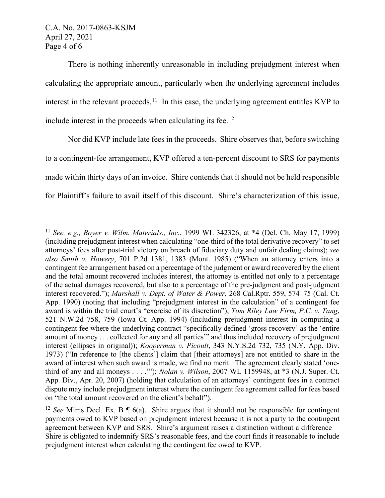There is nothing inherently unreasonable in including prejudgment interest when calculating the appropriate amount, particularly when the underlying agreement includes interest in the relevant proceeds.<sup>11</sup> In this case, the underlying agreement entitles KVP to include interest in the proceeds when calculating its fee.<sup>12</sup>

Nor did KVP include late fees in the proceeds. Shire observes that, before switching to a contingent-fee arrangement, KVP offered a ten-percent discount to SRS for payments made within thirty days of an invoice. Shire contends that it should not be held responsible for Plaintiff's failure to avail itself of this discount. Shire's characterization of this issue,

<sup>11</sup> *See, e.g., Boyer v. Wilm. Materials., Inc.*, 1999 WL 342326, at \*4 (Del. Ch. May 17, 1999) (including prejudgment interest when calculating "one-third of the total derivative recovery" to set attorneys' fees after post-trial victory on breach of fiduciary duty and unfair dealing claims); *see also Smith v. Howery*, 701 P.2d 1381, 1383 (Mont. 1985) ("When an attorney enters into a contingent fee arrangement based on a percentage of the judgment or award recovered by the client and the total amount recovered includes interest, the attorney is entitled not only to a percentage of the actual damages recovered, but also to a percentage of the pre-judgment and post-judgment interest recovered."); *Marshall v. Dept. of Water & Power*, 268 Cal.Rptr. 559, 574–75 (Cal. Ct. App. 1990) (noting that including "prejudgment interest in the calculation" of a contingent fee award is within the trial court's "exercise of its discretion"); *Tom Riley Law Firm, P.C. v. Tang*, 521 N.W.2d 758, 759 (Iowa Ct. App. 1994) (including prejudgment interest in computing a contingent fee where the underlying contract "specifically defined 'gross recovery' as the 'entire amount of money . . . collected for any and all parties'" and thus included recovery of prejudgment interest (ellipses in original)); *Kooperman v. Picoult*, 343 N.Y.S.2d 732, 735 (N.Y. App. Div. 1973) ("In reference to [the clients'] claim that [their attorneys] are not entitled to share in the award of interest when such award is made, we find no merit. The agreement clearly stated 'onethird of any and all moneys . . . .'"); *Nolan v. Wilson*, 2007 WL 1159948, at \*3 (N.J. Super. Ct. App. Div., Apr. 20, 2007) (holding that calculation of an attorneys' contingent fees in a contract dispute may include prejudgment interest where the contingent fee agreement called for fees based on "the total amount recovered on the client's behalf").

<sup>&</sup>lt;sup>12</sup> *See* Mims Decl. Ex. B  $\P$  6(a). Shire argues that it should not be responsible for contingent payments owed to KVP based on prejudgment interest because it is not a party to the contingent agreement between KVP and SRS. Shire's argument raises a distinction without a difference— Shire is obligated to indemnify SRS's reasonable fees, and the court finds it reasonable to include prejudgment interest when calculating the contingent fee owed to KVP.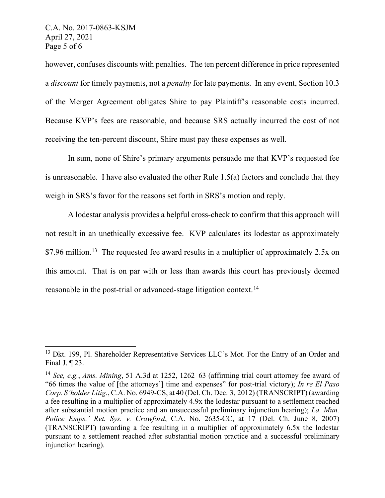however, confuses discounts with penalties. The ten percent difference in price represented a *discount* for timely payments, not a *penalty* for late payments. In any event, Section 10.3 of the Merger Agreement obligates Shire to pay Plaintiff's reasonable costs incurred. Because KVP's fees are reasonable, and because SRS actually incurred the cost of not receiving the ten-percent discount, Shire must pay these expenses as well.

In sum, none of Shire's primary arguments persuade me that KVP's requested fee is unreasonable. I have also evaluated the other Rule 1.5(a) factors and conclude that they weigh in SRS's favor for the reasons set forth in SRS's motion and reply.

A lodestar analysis provides a helpful cross-check to confirm that this approach will not result in an unethically excessive fee. KVP calculates its lodestar as approximately \$7.96 million.<sup>13</sup> The requested fee award results in a multiplier of approximately 2.5x on this amount. That is on par with or less than awards this court has previously deemed reasonable in the post-trial or advanced-stage litigation context.<sup>14</sup>

<sup>&</sup>lt;sup>13</sup> Dkt. 199, Pl. Shareholder Representative Services LLC's Mot. For the Entry of an Order and Final J. ¶ 23.

<sup>14</sup> *See, e.g.*, *Ams. Mining*, 51 A.3d at 1252, 1262–63 (affirming trial court attorney fee award of "66 times the value of [the attorneys'] time and expenses" for post-trial victory); *In re El Paso Corp. S'holder Litig.*, C.A. No. 6949-CS, at 40 (Del. Ch. Dec. 3, 2012) (TRANSCRIPT) (awarding a fee resulting in a multiplier of approximately 4.9x the lodestar pursuant to a settlement reached after substantial motion practice and an unsuccessful preliminary injunction hearing); *La. Mun. Police Emps.' Ret. Sys. v. Crawford*, C.A. No. 2635-CC, at 17 (Del. Ch. June 8, 2007) (TRANSCRIPT) (awarding a fee resulting in a multiplier of approximately 6.5x the lodestar pursuant to a settlement reached after substantial motion practice and a successful preliminary injunction hearing).